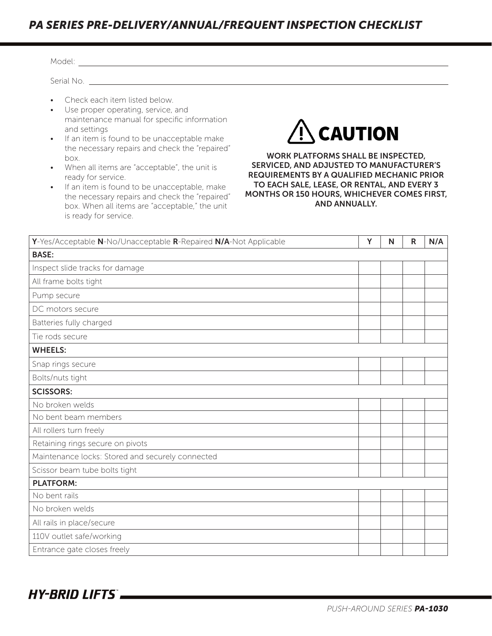## *PA SERIES PRE-DELIVERY/ANNUAL/FREQUENT INSPECTION CHECKLIST*

| Serial No. The contract of the contract of the contract of the contract of the contract of the contract of the                                                                                                                                                                                                                                                                                                                                                                                                                                                                                                                                                                                                                                                                                                                                    |  |   |   |              |     |  |  |  |  |
|---------------------------------------------------------------------------------------------------------------------------------------------------------------------------------------------------------------------------------------------------------------------------------------------------------------------------------------------------------------------------------------------------------------------------------------------------------------------------------------------------------------------------------------------------------------------------------------------------------------------------------------------------------------------------------------------------------------------------------------------------------------------------------------------------------------------------------------------------|--|---|---|--------------|-----|--|--|--|--|
| Check each item listed below.<br>$\bullet$<br>Use proper operating, service, and<br>$\bullet$<br>maintenance manual for specific information<br>$\hat{P}$ CAUTION<br>and settings<br>If an item is found to be unacceptable make<br>$\bullet$<br>the necessary repairs and check the "repaired"<br>WORK PLATFORMS SHALL BE INSPECTED,<br>box.<br>SERVICED, AND ADJUSTED TO MANUFACTURER'S<br>When all items are "acceptable", the unit is<br>$\bullet$<br><b>REQUIREMENTS BY A QUALIFIED MECHANIC PRIOR</b><br>ready for service.<br>TO EACH SALE, LEASE, OR RENTAL, AND EVERY 3<br>If an item is found to be unacceptable, make<br>$\bullet$<br>MONTHS OR 150 HOURS, WHICHEVER COMES FIRST,<br>the necessary repairs and check the "repaired"<br><b>AND ANNUALLY.</b><br>box. When all items are "acceptable," the unit<br>is ready for service. |  |   |   |              |     |  |  |  |  |
|                                                                                                                                                                                                                                                                                                                                                                                                                                                                                                                                                                                                                                                                                                                                                                                                                                                   |  |   |   |              |     |  |  |  |  |
| Y-Yes/Acceptable N-No/Unacceptable R-Repaired N/A-Not Applicable                                                                                                                                                                                                                                                                                                                                                                                                                                                                                                                                                                                                                                                                                                                                                                                  |  | Y | N | $\mathsf{R}$ | N/A |  |  |  |  |
| <b>BASE:</b>                                                                                                                                                                                                                                                                                                                                                                                                                                                                                                                                                                                                                                                                                                                                                                                                                                      |  |   |   |              |     |  |  |  |  |
| Inspect slide tracks for damage                                                                                                                                                                                                                                                                                                                                                                                                                                                                                                                                                                                                                                                                                                                                                                                                                   |  |   |   |              |     |  |  |  |  |
| All frame bolts tight                                                                                                                                                                                                                                                                                                                                                                                                                                                                                                                                                                                                                                                                                                                                                                                                                             |  |   |   |              |     |  |  |  |  |
| Pump secure                                                                                                                                                                                                                                                                                                                                                                                                                                                                                                                                                                                                                                                                                                                                                                                                                                       |  |   |   |              |     |  |  |  |  |
| DC motors secure                                                                                                                                                                                                                                                                                                                                                                                                                                                                                                                                                                                                                                                                                                                                                                                                                                  |  |   |   |              |     |  |  |  |  |
| Batteries fully charged                                                                                                                                                                                                                                                                                                                                                                                                                                                                                                                                                                                                                                                                                                                                                                                                                           |  |   |   |              |     |  |  |  |  |
| Tie rods secure                                                                                                                                                                                                                                                                                                                                                                                                                                                                                                                                                                                                                                                                                                                                                                                                                                   |  |   |   |              |     |  |  |  |  |
| <b>WHEELS:</b>                                                                                                                                                                                                                                                                                                                                                                                                                                                                                                                                                                                                                                                                                                                                                                                                                                    |  |   |   |              |     |  |  |  |  |
| Snap rings secure                                                                                                                                                                                                                                                                                                                                                                                                                                                                                                                                                                                                                                                                                                                                                                                                                                 |  |   |   |              |     |  |  |  |  |
| Bolts/nuts tight                                                                                                                                                                                                                                                                                                                                                                                                                                                                                                                                                                                                                                                                                                                                                                                                                                  |  |   |   |              |     |  |  |  |  |
| <b>SCISSORS:</b>                                                                                                                                                                                                                                                                                                                                                                                                                                                                                                                                                                                                                                                                                                                                                                                                                                  |  |   |   |              |     |  |  |  |  |
| No broken welds                                                                                                                                                                                                                                                                                                                                                                                                                                                                                                                                                                                                                                                                                                                                                                                                                                   |  |   |   |              |     |  |  |  |  |
| No bent beam members                                                                                                                                                                                                                                                                                                                                                                                                                                                                                                                                                                                                                                                                                                                                                                                                                              |  |   |   |              |     |  |  |  |  |
| All rollers turn freely                                                                                                                                                                                                                                                                                                                                                                                                                                                                                                                                                                                                                                                                                                                                                                                                                           |  |   |   |              |     |  |  |  |  |
| Retaining rings secure on pivots                                                                                                                                                                                                                                                                                                                                                                                                                                                                                                                                                                                                                                                                                                                                                                                                                  |  |   |   |              |     |  |  |  |  |
| Maintenance locks: Stored and securely connected                                                                                                                                                                                                                                                                                                                                                                                                                                                                                                                                                                                                                                                                                                                                                                                                  |  |   |   |              |     |  |  |  |  |
| Scissor beam tube bolts tight                                                                                                                                                                                                                                                                                                                                                                                                                                                                                                                                                                                                                                                                                                                                                                                                                     |  |   |   |              |     |  |  |  |  |
| <b>PLATFORM:</b>                                                                                                                                                                                                                                                                                                                                                                                                                                                                                                                                                                                                                                                                                                                                                                                                                                  |  |   |   |              |     |  |  |  |  |
| No bent rails                                                                                                                                                                                                                                                                                                                                                                                                                                                                                                                                                                                                                                                                                                                                                                                                                                     |  |   |   |              |     |  |  |  |  |
| No broken welds                                                                                                                                                                                                                                                                                                                                                                                                                                                                                                                                                                                                                                                                                                                                                                                                                                   |  |   |   |              |     |  |  |  |  |
| All rails in place/secure                                                                                                                                                                                                                                                                                                                                                                                                                                                                                                                                                                                                                                                                                                                                                                                                                         |  |   |   |              |     |  |  |  |  |
| 110V outlet safe/working                                                                                                                                                                                                                                                                                                                                                                                                                                                                                                                                                                                                                                                                                                                                                                                                                          |  |   |   |              |     |  |  |  |  |
| Entrance gate closes freely                                                                                                                                                                                                                                                                                                                                                                                                                                                                                                                                                                                                                                                                                                                                                                                                                       |  |   |   |              |     |  |  |  |  |